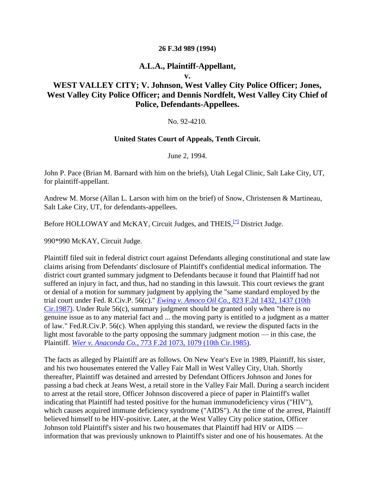#### **26 F.3d 989 (1994)**

### **A.L.A., Plaintiff-Appellant,**

**v.**

# **WEST VALLEY CITY; V. Johnson, West Valley City Police Officer; Jones, West Valley City Police Officer; and Dennis Nordfelt, West Valley City Chief of Police, Defendants-Appellees.**

#### No. 92-4210.

#### **United States Court of Appeals, Tenth Circuit.**

June 2, 1994.

John P. Pace (Brian M. Barnard with him on the briefs), Utah Legal Clinic, Salt Lake City, UT, for plaintiff-appellant.

Andrew M. Morse (Allan L. Larson with him on the brief) of Snow, Christensen & Martineau, Salt Lake City, UT, for defendants-appellees.

Before HOLLOWAY and McKAY, Circuit Judges, and THEIS, $\frac{f*1}{f}$  District Judge.

990\*990 McKAY, Circuit Judge.

Plaintiff filed suit in federal district court against Defendants alleging constitutional and state law claims arising from Defendants' disclosure of Plaintiff's confidential medical information. The district court granted summary judgment to Defendants because it found that Plaintiff had not suffered an injury in fact, and thus, had no standing in this lawsuit. This court reviews the grant or denial of a motion for summary judgment by applying the "same standard employed by the trial court under Fed. R.Civ.P. 56(c)." *Ewing v. Amoco Oil Co.,* [823 F.2d 1432, 1437 \(10th](http://scholar.google.co.in/scholar_case?case=13188490947754396495&q=ALA+v.+West+Valley&hl=en&as_sdt=2,5&scilh=0)  [Cir.1987\).](http://scholar.google.co.in/scholar_case?case=13188490947754396495&q=ALA+v.+West+Valley&hl=en&as_sdt=2,5&scilh=0) Under Rule 56(c), summary judgment should be granted only when "there is no genuine issue as to any material fact and ... the moving party is entitled to a judgment as a matter of law." Fed.R.Civ.P. 56(c). When applying this standard, we review the disputed facts in the light most favorable to the party opposing the summary judgment motion — in this case, the Plaintiff. *Wier v. Anaconda Co.,* [773 F.2d 1073, 1079 \(10th Cir.1985\).](http://scholar.google.co.in/scholar_case?case=7786229251116568657&q=ALA+v.+West+Valley&hl=en&as_sdt=2,5&scilh=0)

The facts as alleged by Plaintiff are as follows. On New Year's Eve in 1989, Plaintiff, his sister, and his two housemates entered the Valley Fair Mall in West Valley City, Utah. Shortly thereafter, Plaintiff was detained and arrested by Defendant Officers Johnson and Jones for passing a bad check at Jeans West, a retail store in the Valley Fair Mall. During a search incident to arrest at the retail store, Officer Johnson discovered a piece of paper in Plaintiff's wallet indicating that Plaintiff had tested positive for the human immunodeficiency virus ("HIV"), which causes acquired immune deficiency syndrome ("AIDS"). At the time of the arrest, Plaintiff believed himself to be HIV-positive. Later, at the West Valley City police station, Officer Johnson told Plaintiff's sister and his two housemates that Plaintiff had HIV or AIDS information that was previously unknown to Plaintiff's sister and one of his housemates. At the